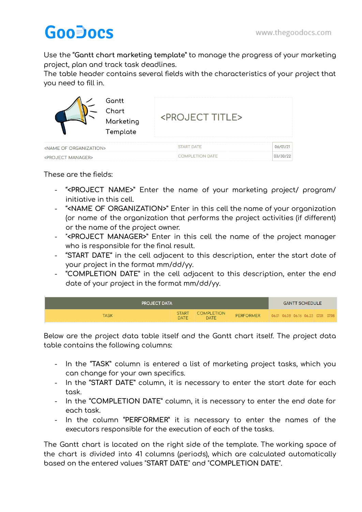## **GooDocs**

Use the "**Gantt chart marketing template**" to manage the progress of your marketing project, plan and track task deadlines.

The table header contains several fields with the characteristics of your project that you need to fill in.

|                                            | Gantt<br>Chart<br><project title=""><br/>Marketing<br/>Template</project> |                        |          |
|--------------------------------------------|---------------------------------------------------------------------------|------------------------|----------|
| <b><name of="" organization=""></name></b> |                                                                           | <b>START DATE</b>      | 06/01/2  |
| <b><project manager=""></project></b>      |                                                                           | <b>COMPLETION DATE</b> | 03/30/22 |

These are the fields:

- "**<PROJECT NAME>**" Enter the name of your marketing project/ program/ initiative in this cell.
- "**<NAME OF ORGANIZATION>**" Enter in this cell the name of your organization (or name of the organization that performs the project activities (if different) or the name of the project owner.
- "**<PROJECT MANAGER>**" Enter in this cell the name of the project manager who is responsible for the final result.
- "**START DATE**" in the cell adjacent to this description, enter the start date of your project in the format mm/dd/yy.
- "**COMPLETION DATE**" in the cell adjacent to this description, enter the end date of your project in the format mm/dd/yy.

| <b>PROJECT DATA</b> |                             |                                  |                                               |  |  |  | <b>GANTT SCHEDULE</b> |  |  |  |  |  |  |  |
|---------------------|-----------------------------|----------------------------------|-----------------------------------------------|--|--|--|-----------------------|--|--|--|--|--|--|--|
| TASK                | <b>START</b><br><b>DATE</b> | <b>COMPLETION</b><br><b>DATE</b> | PERFORMER 06.01 06.08 06.16 06.23 07.01 07.08 |  |  |  |                       |  |  |  |  |  |  |  |

Below are the project data table itself and the Gantt chart itself. The project data table contains the following columns:

- In the "**TASK**" column is entered a list of marketing project tasks, which you can change for your own specifics.
- In the "**START DATE**" column, it is necessary to enter the start date for each task.
- In the "**COMPLETION DATE**" column, it is necessary to enter the end date for each task.
- In the column "**PERFORMER**" it is necessary to enter the names of the executors responsible for the execution of each of the tasks.

The Gantt chart is located on the right side of the template. The working space of the chart is divided into 41 columns (periods), which are calculated automatically based on the entered values "**START DATE**" and "**COMPLETION DATE**".